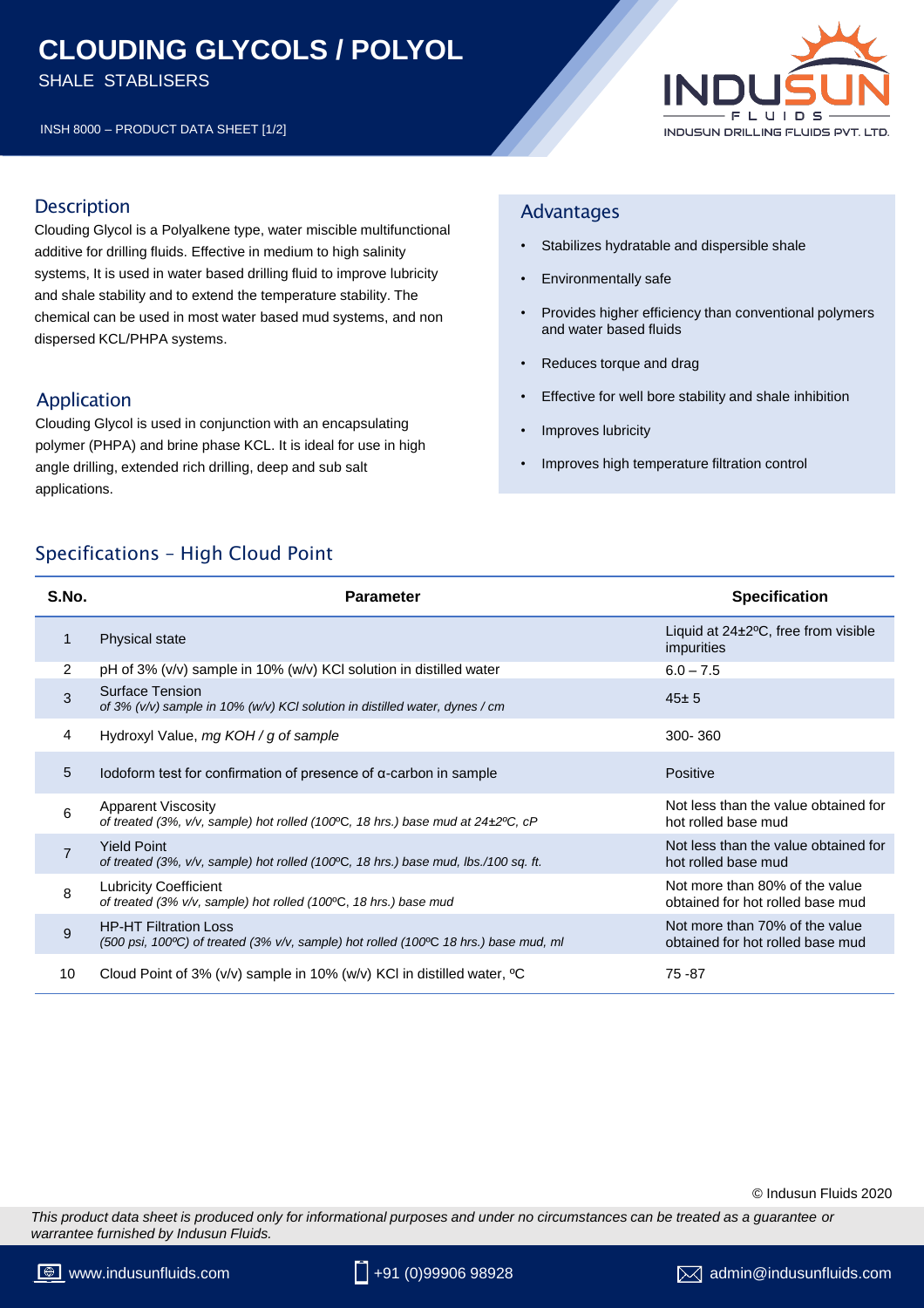# **CLOUDING GLYCOLS / POLYOL**

SHALE STABLISERS

INSH 8000 – PRODUCT DATA SHEET [1/2]



### **Description**

Clouding Glycol is a Polyalkene type, water miscible multifunctional additive for drilling fluids. Effective in medium to high salinity systems, It is used in water based drilling fluid to improve lubricity and shale stability and to extend the temperature stability. The chemical can be used in most water based mud systems, and non dispersed KCL/PHPA systems.

## Application

Clouding Glycol is used in conjunction with an encapsulating polymer (PHPA) and brine phase KCL. It is ideal for use in high angle drilling, extended rich drilling, deep and sub salt applications.

#### Advantages

- Stabilizes hydratable and dispersible shale
- Environmentally safe
- Provides higher efficiency than conventional polymers and water based fluids
- Reduces torque and drag
- Effective for well bore stability and shale inhibition
- Improves lubricity
- Improves high temperature filtration control

# Specifications – High Cloud Point

| S.No.          | <b>Parameter</b>                                                                                                                         | <b>Specification</b>                                               |
|----------------|------------------------------------------------------------------------------------------------------------------------------------------|--------------------------------------------------------------------|
| 1              | <b>Physical state</b>                                                                                                                    | Liquid at $24\pm2\degree$ C, free from visible<br>impurities       |
| 2              | pH of 3% (v/v) sample in 10% (w/v) KCI solution in distilled water                                                                       | $6.0 - 7.5$                                                        |
| 3              | <b>Surface Tension</b><br>of 3% $(v/v)$ sample in 10% $(w/v)$ KCI solution in distilled water, dynes / cm                                | $45 \pm 5$                                                         |
| 4              | Hydroxyl Value, mg KOH / g of sample                                                                                                     | 300-360                                                            |
| 5              | Iodoform test for confirmation of presence of $\alpha$ -carbon in sample                                                                 | Positive                                                           |
| 6              | <b>Apparent Viscosity</b><br>of treated (3%, v/v, sample) hot rolled (100°C, 18 hrs.) base mud at 24±2°C, cP                             | Not less than the value obtained for<br>hot rolled base mud        |
| $\overline{7}$ | <b>Yield Point</b><br>of treated (3%, v/v, sample) hot rolled (100°C, 18 hrs.) base mud, lbs./100 sq. ft.                                | Not less than the value obtained for<br>hot rolled base mud        |
| 8              | <b>Lubricity Coefficient</b><br>of treated (3% v/v, sample) hot rolled (100°C, 18 hrs.) base mud                                         | Not more than 80% of the value<br>obtained for hot rolled base mud |
| 9              | <b>HP-HT Filtration Loss</b><br>(500 psi, 100 $\degree$ C) of treated (3% v/v, sample) hot rolled (100 $\degree$ C 18 hrs.) base mud, ml | Not more than 70% of the value<br>obtained for hot rolled base mud |
| 10             | Cloud Point of 3% ( $v/v$ ) sample in 10% ( $w/v$ ) KCI in distilled water, <sup>o</sup> C                                               | 75 - 87                                                            |

#### © Indusun Fluids 2020

*This product data sheet is produced only for informational purposes and under no circumstances can be treated as a guarantee or warrantee furnished by Indusun Fluids.*